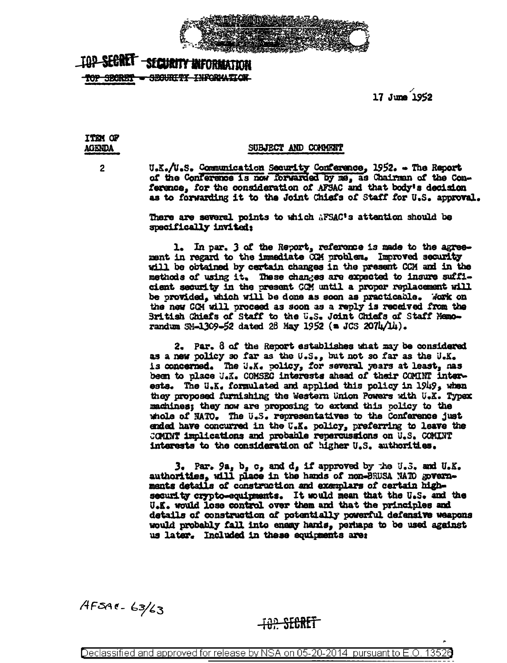

## **TOP SECRET SECURITY INFORMATION** <del>- SECURITY INFORMATION</del> TOP SECRET

17 June 1952

ITEM OF **AGENDA** 

 $\overline{2}$ 

## SUBJECT AND COMMENT

U.K./U.S. Communication Security Conference, 1952. - The Report of the Conference is now forwarded by me, as Chairman of the Conference. for the consideration of AFSAC and that body's decision as to forwarding it to the Joint Chiefs of Staff for U.S. approval.

There are several points to which AFSAC's attention should be specifically invited:

1. In par. 3 of the Report, reference is made to the agreement in regard to the immediate CCM problem. Improved security will be obtained by certain changes in the present CCM and in the methods of using it. These changes are expected to insure sufficient security in the present COM until a proper replacement will be provided, which will be done as soon as practicable. Work on the new CGM will proceed as soon as a reply is received from the British Chiefs of Staff to the U.S. Joint Chiefs of Staff Memorandum  $$N=13C9=52$  dated 28 May 1952 (a JCS 2074/14).

2. Par. 8 of the Report establishes what may be considered as a new policy so far as the U.S., but not so far as the U.K. is concerned. The U.K. policy, for several years at least, nas been to place U.K. COMSEC interests ahead of their COMINT interests. The U.K. formulated and applied this policy in 1949, when they proposed furnishing the Western Union Powers with U.X. Typex machines; they now are proposing to extend this policy to the whole of NATO. The U.S. representatives to the Conference just ended have concurred in the U.K. policy, preferring to leave the COMINT implications and probable repercussions on U.S. COMINT interests to the consideration of higher U.S. authorities.

3. Par. 9a, b, c, and  $d_s$  if approved by the U.S. and U.K. authorities, will place in the hands of non-BRUSA NATO governments details of construction and exemplars of certain highsecurity crypto-equipments. It would mean that the U.S. and the U.K. would lose control over them and that the principles and details of construction of potentially powerful defensive weapons would probably fall into enemy hands, perhaps to be used against us later. Included in these equipments are:

 $AFSAI - 63/63$